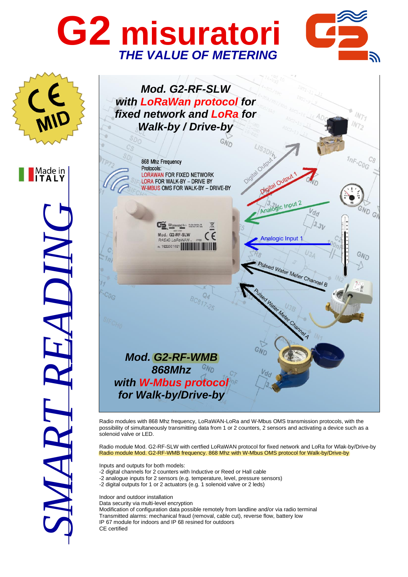## **G2 misuratori** *THE VALUE OF METERING*





Radio modules with 868 Mhz frequency, LoRaWAN-LoRa and W-Mbus OMS transmission protocols, with the possibility of simultaneously transmitting data from 1 or 2 counters, 2 sensors and activating a device such as a solenoid valve or LED.

Radio module Mod. G2-RF-SLW with certfied LoRaWAN protocol for fixed network and LoRa for Wlak-by/Drive-by Radio module Mod. G2-RF-WMB frequency. 868 Mhz with W-Mbus OMS protocol for Walk-by/Drive-by

Inputs and outputs for both models:

-2 digital channels for 2 counters with Inductive or Reed or Hall cable -2 analogue inputs for 2 sensors (e.g. temperature, level, pressure sensors) -2 digital outputs for 1 or 2 actuators (e.g. 1 solenoid valve or 2 leds)

Indoor and outdoor installation

Data security via multi-level encryption Modification of configuration data possible remotely from landline and/or via radio terminal Transmitted alarms: mechanical fraud (removal, cable cut), reverse flow, battery low IP 67 module for indoors and IP 68 resined for outdoors CE certified